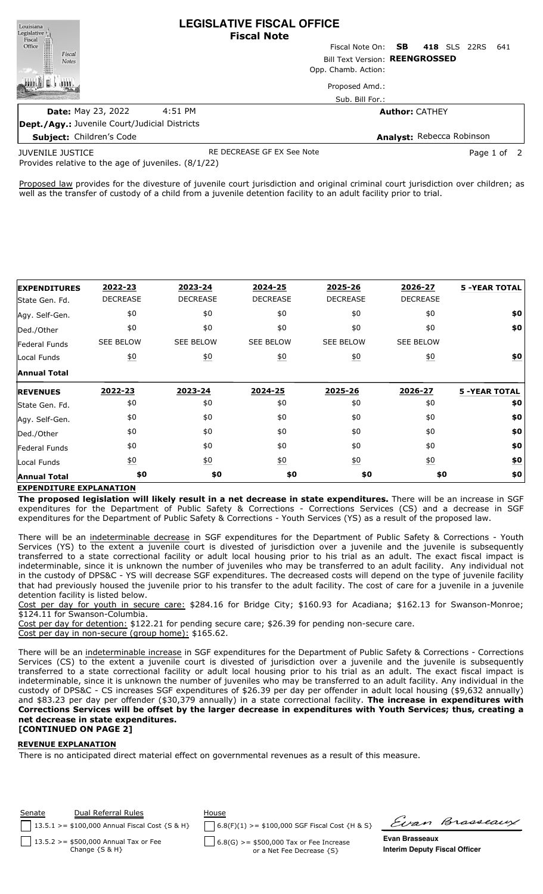| Louisiana                       |                                                      |         | <b>LEGISLATIVE FISCAL OFFICE</b><br><b>Fiscal Note</b> |                                |  |  |  |                     |     |
|---------------------------------|------------------------------------------------------|---------|--------------------------------------------------------|--------------------------------|--|--|--|---------------------|-----|
| Legislative<br>Fiscal<br>Office |                                                      |         |                                                        | Fiscal Note On: <b>SB</b>      |  |  |  | <b>418</b> SLS 22RS | 641 |
| Fiscal<br><b>Notes</b>          |                                                      |         |                                                        | Bill Text Version: REENGROSSED |  |  |  |                     |     |
|                                 |                                                      |         |                                                        | Opp. Chamb. Action:            |  |  |  |                     |     |
|                                 |                                                      |         |                                                        | Proposed Amd.:                 |  |  |  |                     |     |
|                                 |                                                      |         |                                                        | Sub. Bill For.:                |  |  |  |                     |     |
|                                 | <b>Date: May 23, 2022</b>                            | 4:51 PM |                                                        | <b>Author: CATHEY</b>          |  |  |  |                     |     |
|                                 | <b>Dept./Agy.: Juvenile Court/Judicial Districts</b> |         |                                                        |                                |  |  |  |                     |     |

**Subject:** Children's Code

**Analyst:** Rebecca Robinson

JUVENILE JUSTICE

RE DECREASE GF EX See Note **Page 1 of 2** and 2

Provides relative to the age of juveniles. (8/1/22)

Proposed law provides for the divesture of juvenile court jurisdiction and original criminal court jurisdiction over children; as well as the transfer of custody of a child from a juvenile detention facility to an adult facility prior to trial.

| <b>EXPENDITURES</b>  | 2022-23           | 2023-24          | 2024-25          | 2025-26           | 2026-27          | <b>5 -YEAR TOTAL</b> |
|----------------------|-------------------|------------------|------------------|-------------------|------------------|----------------------|
| State Gen. Fd.       | <b>DECREASE</b>   | <b>DECREASE</b>  | <b>DECREASE</b>  | <b>DECREASE</b>   | <b>DECREASE</b>  |                      |
| Agy. Self-Gen.       | \$0               | \$0              | \$0              | \$0               | \$0              | \$0                  |
| Ded./Other           | \$0               | \$0              | \$0              | \$0               | \$0              | \$0                  |
| <b>Federal Funds</b> | <b>SEE BELOW</b>  | <b>SEE BELOW</b> | <b>SEE BELOW</b> | <b>SEE BELOW</b>  | <b>SEE BELOW</b> |                      |
| Local Funds          | $\underline{\$0}$ | 60               | 60               | 60                | 60               | $\underline{\$0}$    |
| <b>Annual Total</b>  |                   |                  |                  |                   |                  |                      |
| <b>REVENUES</b>      | 2022-23           | 2023-24          | 2024-25          | 2025-26           | 2026-27          | <b>5 -YEAR TOTAL</b> |
|                      |                   |                  |                  |                   |                  |                      |
| State Gen. Fd.       | \$0               | \$0              | \$0              | \$0               | \$0              |                      |
| Agy. Self-Gen.       | \$0               | \$0              | \$0              | \$0               | \$0              | \$0<br>\$0           |
| Ded./Other           | \$0               | \$0              | \$0              | \$0               | \$0              | \$0                  |
| <b>Federal Funds</b> | \$0               | \$0              | \$0              | \$0               | \$0              | \$0                  |
| Local Funds          | $\underline{50}$  | $\underline{50}$ | $\underline{50}$ | $\underline{\$0}$ | $\underline{50}$ | \$0                  |

## **EXPENDITURE EXPLANATION**

**The proposed legislation will likely result in a net decrease in state expenditures.** There will be an increase in SGF expenditures for the Department of Public Safety & Corrections - Corrections Services (CS) and a decrease in SGF expenditures for the Department of Public Safety & Corrections - Youth Services (YS) as a result of the proposed law.

There will be an indeterminable decrease in SGF expenditures for the Department of Public Safety & Corrections - Youth Services (YS) to the extent a juvenile court is divested of jurisdiction over a juvenile and the juvenile is subsequently transferred to a state correctional facility or adult local housing prior to his trial as an adult. The exact fiscal impact is indeterminable, since it is unknown the number of juveniles who may be transferred to an adult facility. Any individual not in the custody of DPS&C - YS will decrease SGF expenditures. The decreased costs will depend on the type of juvenile facility that had previously housed the juvenile prior to his transfer to the adult facility. The cost of care for a juvenile in a juvenile detention facility is listed below.

Cost per day for youth in secure care: \$284.16 for Bridge City; \$160.93 for Acadiana; \$162.13 for Swanson-Monroe; \$124.11 for Swanson-Columbia.

Cost per day for detention: \$122.21 for pending secure care; \$26.39 for pending non-secure care. Cost per day in non-secure (group home): \$165.62.

There will be an indeterminable increase in SGF expenditures for the Department of Public Safety & Corrections - Corrections Services (CS) to the extent a juvenile court is divested of jurisdiction over a juvenile and the juvenile is subsequently transferred to a state correctional facility or adult local housing prior to his trial as an adult. The exact fiscal impact is indeterminable, since it is unknown the number of juveniles who may be transferred to an adult facility. Any individual in the custody of DPS&C - CS increases SGF expenditures of \$26.39 per day per offender in adult local housing (\$9,632 annually) and \$83.23 per day per offender (\$30,379 annually) in a state correctional facility. **The increase in expenditures with** Corrections Services will be offset by the larger decrease in expenditures with Youth Services; thus, creating a **net decrease in state expenditures. [CONTINUED ON PAGE 2]**

## **REVENUE EXPLANATION**

There is no anticipated direct material effect on governmental revenues as a result of this measure.